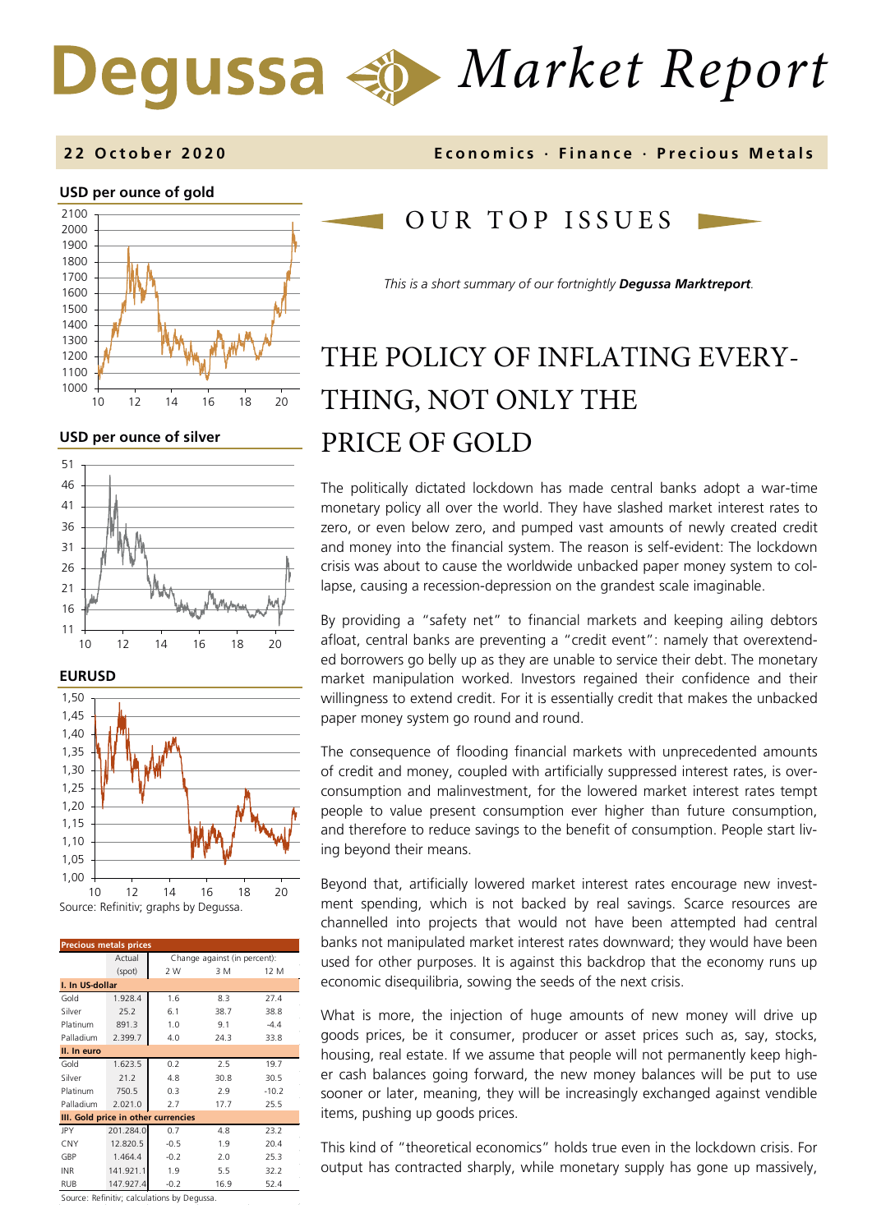# *Market Report*

### **USD per ounce of gold**



**USD per ounce of silver** 







| <b>Precious metals prices</b>       |           |                              |      |         |  |
|-------------------------------------|-----------|------------------------------|------|---------|--|
|                                     | Actual    | Change against (in percent): |      |         |  |
|                                     | (spot)    | 2 W                          | 3 M  | 12 M    |  |
| I. In US-dollar                     |           |                              |      |         |  |
| Gold                                | 1.928.4   | 1.6                          | 8.3  | 27.4    |  |
| Silver                              | 25.2      | 6.1                          | 38.7 | 38.8    |  |
| Platinum                            | 891.3     | 1.0                          | 9.1  | $-4.4$  |  |
| Palladium                           | 2.399.7   | 4.0                          | 24.3 | 33.8    |  |
| II. In euro                         |           |                              |      |         |  |
| Gold                                | 1.623.5   | 0.2                          | 2.5  | 19.7    |  |
| Silver                              | 21.2      | 4.8                          | 30.8 | 30.5    |  |
| Platinum                            | 750.5     | 0.3                          | 2.9  | $-10.2$ |  |
| Palladium                           | 2.021.0   | 2.7                          | 17.7 | 25.5    |  |
| III. Gold price in other currencies |           |                              |      |         |  |
| JPY                                 | 201.284.0 | 0.7                          | 4.8  | 23.2    |  |
| <b>CNY</b>                          | 12.820.5  | $-0.5$                       | 1.9  | 20.4    |  |
| GBP                                 | 1.464.4   | $-0.2$                       | 2.0  | 25.3    |  |
| <b>INR</b>                          | 141.921.1 | 1.9                          | 5.5  | 32.2    |  |
| <b>RUB</b>                          | 147.927.4 | $-0.2$                       | 16.9 | 52.4    |  |

**2 2 October 2020 Economics · Finance · Precious M etals**

## OUR TOP ISSUE S

*This is a short summary of our fortnightly Degussa Marktreport.*

## THE POLICY OF INFLATING EVERY-THING, NOT ONLY THE PRICE OF GOLD

The politically dictated lockdown has made central banks adopt a war-time monetary policy all over the world. They have slashed market interest rates to zero, or even below zero, and pumped vast amounts of newly created credit and money into the financial system. The reason is self-evident: The lockdown crisis was about to cause the worldwide unbacked paper money system to collapse, causing a recession-depression on the grandest scale imaginable.

By providing a "safety net" to financial markets and keeping ailing debtors afloat, central banks are preventing a "credit event": namely that overextended borrowers go belly up as they are unable to service their debt. The monetary market manipulation worked. Investors regained their confidence and their willingness to extend credit. For it is essentially credit that makes the unbacked paper money system go round and round.

The consequence of flooding financial markets with unprecedented amounts of credit and money, coupled with artificially suppressed interest rates, is overconsumption and malinvestment, for the lowered market interest rates tempt people to value present consumption ever higher than future consumption, and therefore to reduce savings to the benefit of consumption. People start living beyond their means.

Beyond that, artificially lowered market interest rates encourage new investment spending, which is not backed by real savings. Scarce resources are channelled into projects that would not have been attempted had central banks not manipulated market interest rates downward; they would have been used for other purposes. It is against this backdrop that the economy runs up economic disequilibria, sowing the seeds of the next crisis.

What is more, the injection of huge amounts of new money will drive up goods prices, be it consumer, producer or asset prices such as, say, stocks, housing, real estate. If we assume that people will not permanently keep higher cash balances going forward, the new money balances will be put to use sooner or later, meaning, they will be increasingly exchanged against vendible items, pushing up goods prices.

This kind of "theoretical economics" holds true even in the lockdown crisis. For output has contracted sharply, while monetary supply has gone up massively,

Source: Refinitiv; calculations by Degussa.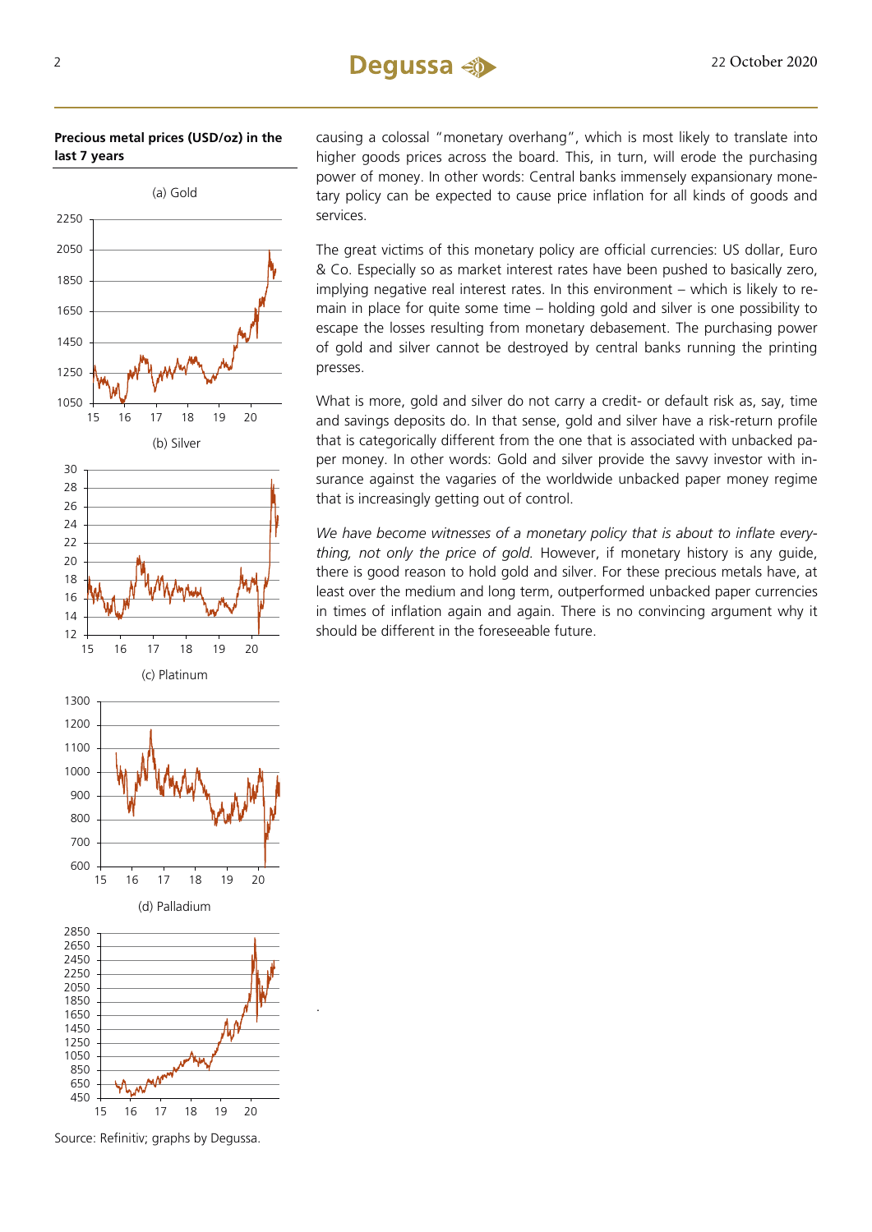#### **Precious metal prices (USD/oz) in the last 7 years**



Source: Refinitiv; graphs by Degussa.

.

causing a colossal "monetary overhang", which is most likely to translate into higher goods prices across the board. This, in turn, will erode the purchasing power of money. In other words: Central banks immensely expansionary monetary policy can be expected to cause price inflation for all kinds of goods and services.

The great victims of this monetary policy are official currencies: US dollar, Euro & Co. Especially so as market interest rates have been pushed to basically zero, implying negative real interest rates. In this environment – which is likely to remain in place for quite some time – holding gold and silver is one possibility to escape the losses resulting from monetary debasement. The purchasing power of gold and silver cannot be destroyed by central banks running the printing presses.

What is more, gold and silver do not carry a credit- or default risk as, say, time and savings deposits do. In that sense, gold and silver have a risk-return profile that is categorically different from the one that is associated with unbacked paper money. In other words: Gold and silver provide the savvy investor with insurance against the vagaries of the worldwide unbacked paper money regime that is increasingly getting out of control.

*We have become witnesses of a monetary policy that is about to inflate everything, not only the price of gold.* However, if monetary history is any guide, there is good reason to hold gold and silver. For these precious metals have, at least over the medium and long term, outperformed unbacked paper currencies in times of inflation again and again. There is no convincing argument why it should be different in the foreseeable future.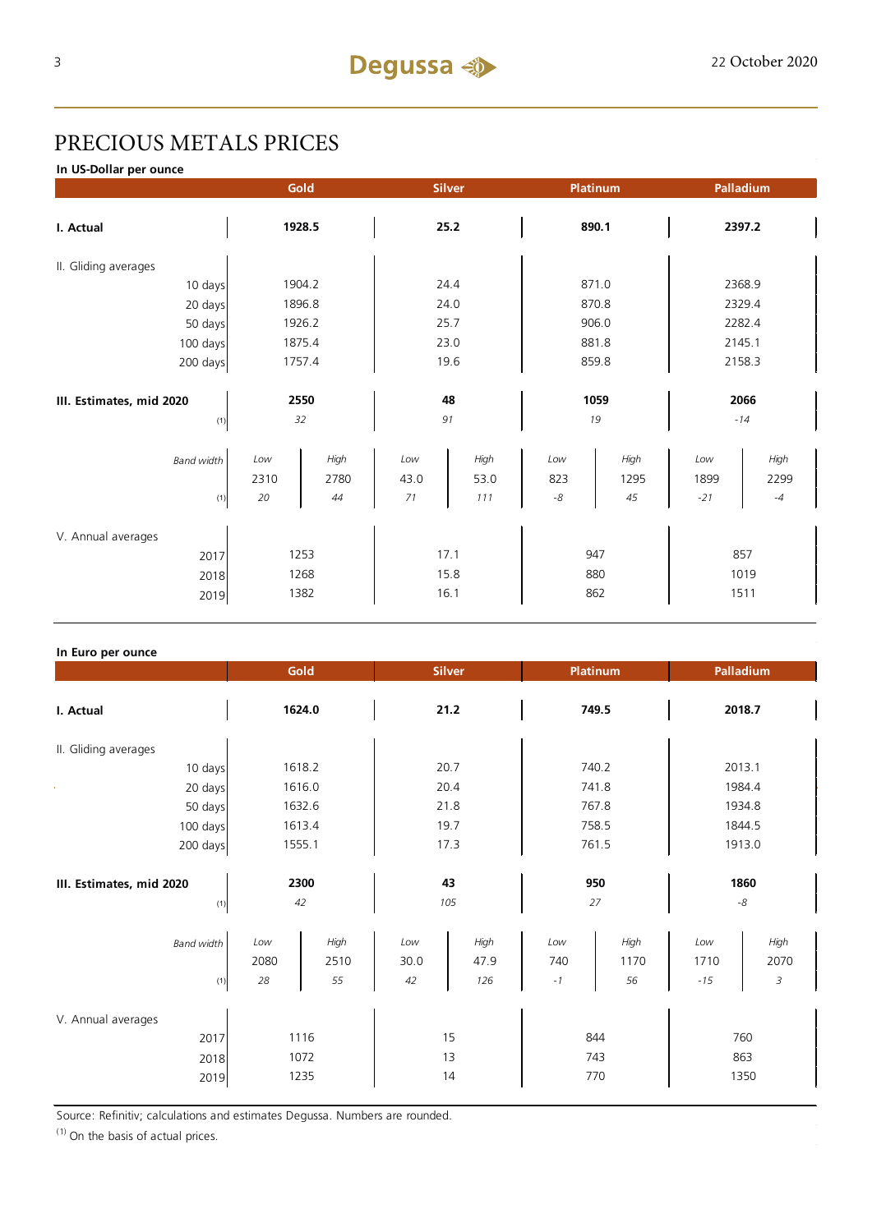## PRECIOUS METALS PRICES

**In US-Dollar per ounce**

|                          |      | Gold   |          | <b>Silver</b> | Platinum    |       |        | Palladium |
|--------------------------|------|--------|----------|---------------|-------------|-------|--------|-----------|
| I. Actual                |      | 1928.5 |          | 25.2          | 890.1       |       |        | 2397.2    |
| II. Gliding averages     |      |        |          |               |             |       |        |           |
| 10 days                  |      | 1904.2 |          | 24.4          |             | 871.0 |        | 2368.9    |
| 20 days                  |      | 1896.8 |          | 24.0          |             | 870.8 |        | 2329.4    |
| 50 days                  |      | 1926.2 |          | 25.7          |             | 906.0 |        | 2282.4    |
| 100 days                 |      | 1875.4 |          | 23.0          |             | 881.8 | 2145.1 |           |
| 200 days                 |      | 1757.4 |          | 19.6          |             | 859.8 |        | 2158.3    |
|                          |      |        |          |               |             |       |        |           |
| III. Estimates, mid 2020 |      | 2550   |          | 48            |             | 1059  |        | 2066      |
| (1)                      |      | 32     |          | 91            | 19          |       |        | $-14$     |
| <b>Band width</b>        | Low  | High   | $_{Low}$ | High          | Low         | High  | Low    | High      |
|                          | 2310 | 2780   | 43.0     | 53.0          | 823         | 1295  | 1899   | 2299      |
| $(1)$                    | 20   | 44     | $71$     | 111           | $\text{-}8$ | 45    | $-21$  | $-4$      |
| V. Annual averages       |      |        |          |               |             |       |        |           |
| 2017                     |      | 1253   |          | 17.1          | 947         |       |        | 857       |
| 2018                     |      | 1268   |          | 15.8          | 880         |       |        | 1019      |
| 2019                     |      | 1382   |          | 16.1          | 862         |       |        | 1511      |

#### **In Euro per ounce**

|                                            | Gold                                    | <b>Silver</b>                            | <b>Platinum</b>                          | Palladium                                 |
|--------------------------------------------|-----------------------------------------|------------------------------------------|------------------------------------------|-------------------------------------------|
| I. Actual                                  | 1624.0                                  | 21.2                                     | 749.5                                    | 2018.7                                    |
| II. Gliding averages                       |                                         |                                          |                                          |                                           |
| 10 days                                    | 1618.2                                  | 20.7                                     | 740.2                                    | 2013.1                                    |
| 20 days                                    | 1616.0                                  | 20.4                                     | 741.8                                    | 1984.4                                    |
| 50 days                                    | 1632.6                                  | 21.8                                     | 767.8                                    | 1934.8                                    |
| 100 days                                   | 1613.4                                  | 19.7                                     | 758.5                                    | 1844.5                                    |
| 200 days                                   | 1555.1                                  | 17.3                                     | 761.5                                    | 1913.0                                    |
| III. Estimates, mid 2020<br>(1)            | 2300<br>42                              | 43<br>105                                | 950<br>27                                | 1860<br>$\text{-}8$                       |
| <b>Band width</b><br>(1)                   | High<br>Low<br>2080<br>2510<br>28<br>55 | Low<br>High<br>47.9<br>30.0<br>42<br>126 | High<br>Low<br>740<br>1170<br>$-1$<br>56 | High<br>Low<br>2070<br>1710<br>3<br>$-15$ |
| V. Annual averages<br>2017<br>2018<br>2019 | 1116<br>1072<br>1235                    | 15<br>13<br>14                           | 844<br>743<br>770                        | 760<br>863<br>1350                        |

Source: Refinitiv; calculations and estimates Degussa. Numbers are rounded.

 $(1)$  On the basis of actual prices.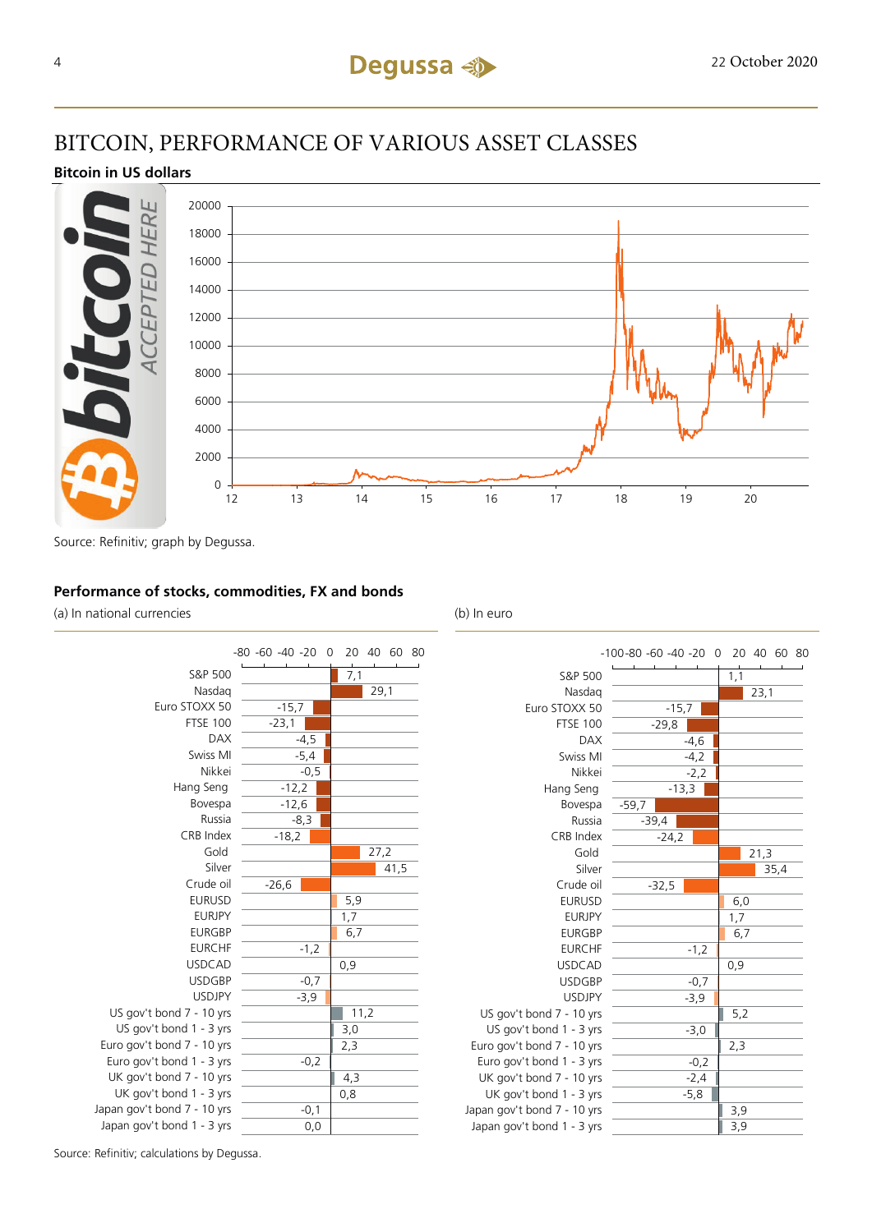## BITCOIN, PERFORMANCE OF VARIOUS ASSET CLASSES

#### **Bitcoin in US dollars**



Source: Refinitiv; graph by Degussa.

#### **Performance of stocks, commodities, FX and bonds**

(a) In national currencies (b) In euro



|                             | -100-80 -60 -40 -20 0 20 40 60 80 |      |
|-----------------------------|-----------------------------------|------|
| S&P 500                     |                                   | 1,1  |
| Nasdag                      |                                   | 23,1 |
| Euro STOXX 50               | $-15,7$                           |      |
| <b>FTSE 100</b>             | $-29,8$                           |      |
| <b>DAX</b>                  | $-4,6$                            |      |
| Swiss MI                    | $-4,2$                            |      |
| Nikkei                      | $-2,2$                            |      |
| Hang Seng                   | $-13,3$                           |      |
| Bovespa                     | $-59,7$                           |      |
| Russia                      | $-39,4$                           |      |
| CRB Index                   | $-24,2$                           |      |
| Gold                        |                                   | 21,3 |
| Silver                      |                                   | 35,4 |
| Crude oil                   | $-32,5$                           |      |
| <b>EURUSD</b>               |                                   | 6,0  |
| <b>EURJPY</b>               |                                   | 1,7  |
| <b>EURGBP</b>               |                                   | 6,7  |
| <b>EURCHF</b>               | $-1,2$                            |      |
| <b>USDCAD</b>               |                                   | 0,9  |
| <b>USDGBP</b>               | $-0,7$                            |      |
| <b>USDJPY</b>               | $-3,9$                            |      |
| US gov't bond 7 - 10 yrs    |                                   | 5,2  |
| US gov't bond 1 - 3 yrs     | $-3,0$                            |      |
| Euro gov't bond 7 - 10 yrs  |                                   | 2,3  |
| Euro gov't bond 1 - 3 yrs   | $-0,2$                            |      |
| UK gov't bond 7 - 10 yrs    | $-2,4$                            |      |
| UK gov't bond 1 - 3 yrs     | $-5,8$                            |      |
| Japan gov't bond 7 - 10 yrs |                                   | 3,9  |
| Japan gov't bond 1 - 3 yrs  |                                   | 3,9  |

Source: Refinitiv; calculations by Degussa.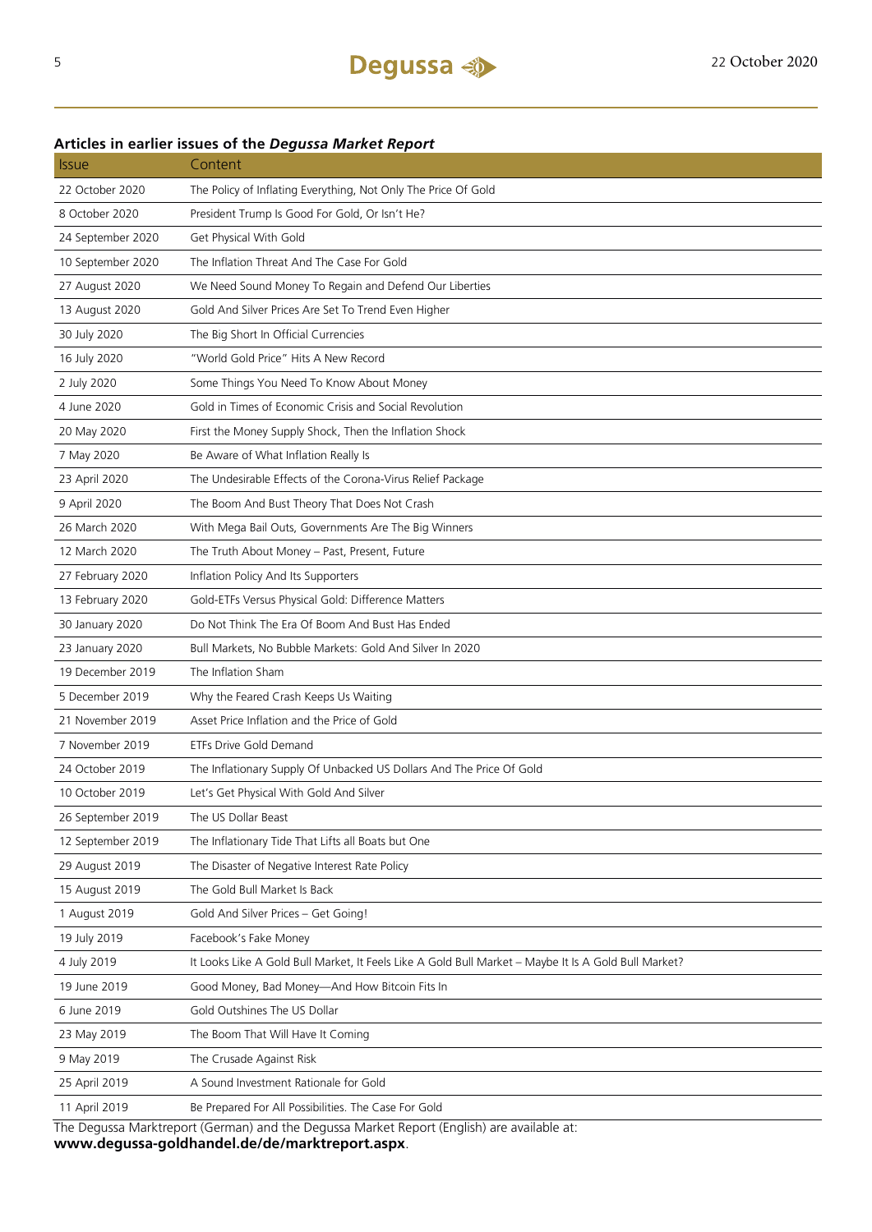## 22 October 2020 The Policy of Inflating Everything, Not Only The Price Of Gold 8 October 2020 President Trump Is Good For Gold, Or Isn't He? 24 September 2020 Get Physical With Gold 10 September 2020 The Inflation Threat And The Case For Gold 27 August 2020 We Need Sound Money To Regain and Defend Our Liberties 13 August 2020 Gold And Silver Prices Are Set To Trend Even Higher 30 July 2020 The Big Short In Official Currencies 16 July 2020 "World Gold Price" Hits A New Record 2 July 2020 Some Things You Need To Know About Money 4 June 2020 Gold in Times of Economic Crisis and Social Revolution 20 May 2020 First the Money Supply Shock, Then the Inflation Shock 7 May 2020 Be Aware of What Inflation Really Is 23 April 2020 The Undesirable Effects of the Corona-Virus Relief Package 9 April 2020 The Boom And Bust Theory That Does Not Crash 26 March 2020 With Mega Bail Outs, Governments Are The Big Winners 12 March 2020 The Truth About Money – Past, Present, Future 27 February 2020 Inflation Policy And Its Supporters 13 February 2020 Gold-ETFs Versus Physical Gold: Difference Matters 30 January 2020 Do Not Think The Era Of Boom And Bust Has Ended 23 January 2020 Bull Markets, No Bubble Markets: Gold And Silver In 2020 19 December 2019 The Inflation Sham 5 December 2019 Why the Feared Crash Keeps Us Waiting 21 November 2019 Asset Price Inflation and the Price of Gold 7 November 2019 ETFs Drive Gold Demand 24 October 2019 The Inflationary Supply Of Unbacked US Dollars And The Price Of Gold 10 October 2019 Let's Get Physical With Gold And Silver 26 September 2019 The US Dollar Beast 12 September 2019 The Inflationary Tide That Lifts all Boats but One 29 August 2019 The Disaster of Negative Interest Rate Policy 15 August 2019 The Gold Bull Market Is Back 1 August 2019 Gold And Silver Prices – Get Going! 19 July 2019 Facebook's Fake Money 4 July 2019 It Looks Like A Gold Bull Market, It Feels Like A Gold Bull Market – Maybe It Is A Gold Bull Market? 19 June 2019 Good Money, Bad Money—And How Bitcoin Fits In 6 June 2019 Gold Outshines The US Dollar 23 May 2019 The Boom That Will Have It Coming 9 May 2019 The Crusade Against Risk 25 April 2019 A Sound Investment Rationale for Gold 11 April 2019 Be Prepared For All Possibilities. The Case For Gold

#### **Articles in earlier issues of the** *Degussa Market Report*

Issue Content

The Degussa Marktreport (German) and the Degussa Market Report (English) are available at: **www.degussa-goldhandel.de/de/marktreport.aspx**.